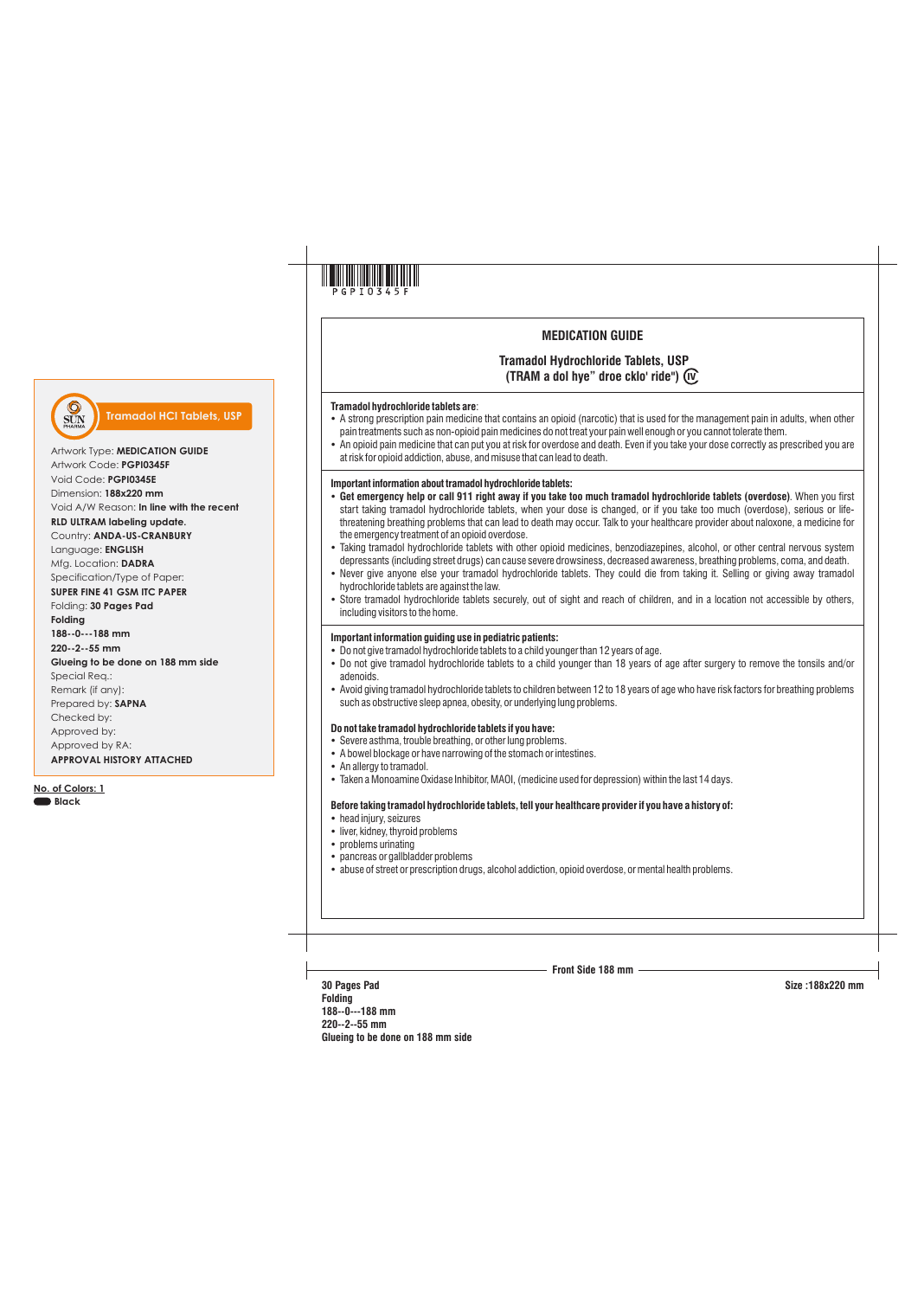

# **MEDICATION GUIDE**

## **Tramadol Hydrochloride Tablets, USP (TRAM a dol hye" droe cklo' ride") IV**

#### **Tramadol hydrochloride tablets are**:

- A strong prescription pain medicine that contains an opioid (narcotic) that is used for the management pain in adults, when other pain treatments such as non-opioid pain medicines do not treat your pain well enough or you cannot tolerate them.
- An opioid pain medicine that can put you at risk for overdose and death. Even if you take your dose correctly as prescribed you are at risk for opioid addiction, abuse, and misuse that can lead to death.

## **Important information about tramadol hydrochloride tablets:**

- Ÿ**Get emergency help or call 911 right away if you take too much tramadol hydrochloride tablets (overdose)**. When you first start taking tramadol hydrochloride tablets, when your dose is changed, or if you take too much (overdose), serious or lifethreatening breathing problems that can lead to death may occur. Talk to your healthcare provider about naloxone, a medicine for the emergency treatment of an opioid overdose.
- Taking tramadol hydrochloride tablets with other opioid medicines, benzodiazepines, alcohol, or other central nervous system depressants (including street drugs) can cause severe drowsiness, decreased awareness, breathing problems, coma, and death.
- Never give anyone else your tramadol hydrochloride tablets. They could die from taking it. Selling or giving away tramadol hydrochloride tablets are against the law.
- Store tramadol hydrochloride tablets securely, out of sight and reach of children, and in a location not accessible by others, including visitors to the home.

## **Important information guiding use in pediatric patients:**

- Do not give tramadol hydrochloride tablets to a child younger than 12 years of age.
- ŸDo not give tramadol hydrochloride tablets to a child younger than 18 years of age after surgery to remove the tonsils and/or adenoids.
- Avoid giving tramadol hydrochloride tablets to children between 12 to 18 years of age who have risk factors for breathing problems such as obstructive sleep apnea, obesity, or underlying lung problems.

## **Do not take tramadol hydrochloride tablets if you have:**

- Severe asthma, trouble breathing, or other lung problems.
- A bowel blockage or have narrowing of the stomach or intestines.
- An allergy to tramadol.
- Taken a Monoamine Oxidase Inhibitor, MAOI, (medicine used for depression) within the last 14 days.

#### **Before taking tramadol hydrochloride tablets, tell your healthcare provider if you have a history of:**

- head injury, seizures
- liver, kidney, thyroid problems
- problems urinating
- pancreas or gallbladder problems
- $\bullet$  abuse of street or prescription drugs, alcohol addiction, opioid overdose, or mental health problems.